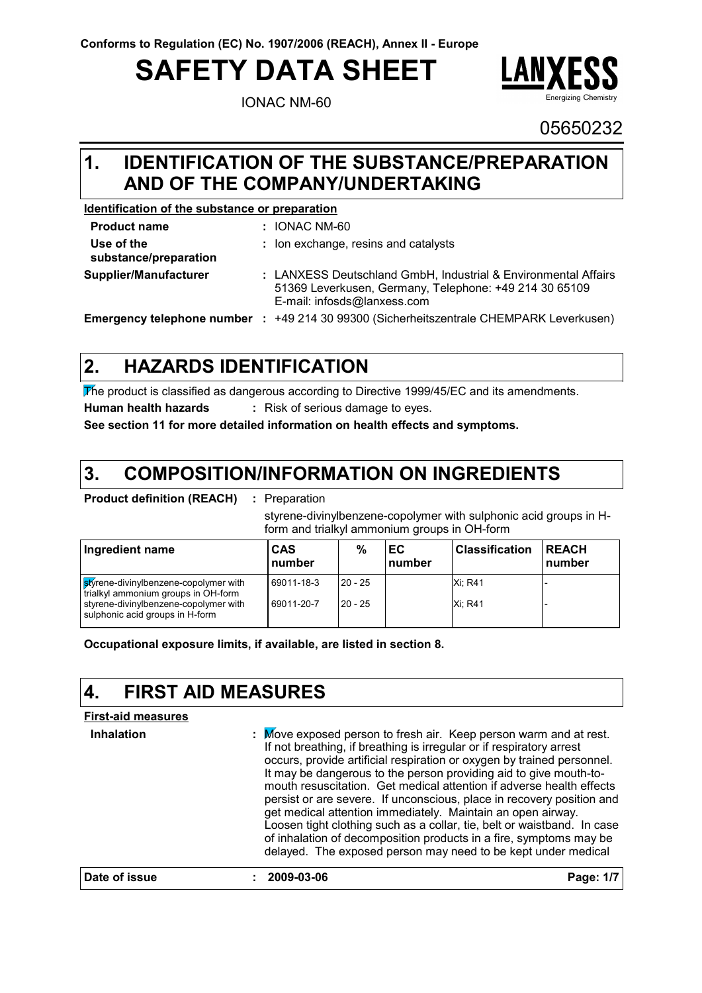# **SAFETY DATA SHEET**

IONAC NM-60



05650232

### **IDENTIFICATION OF THE SUBSTANCE/PREPARATION 1. AND OF THE COMPANY/UNDERTAKING**

### **Identification of the substance or preparation**

| <b>Product name</b>                 |        | : IONAC NM-60                                                                                                                                           |
|-------------------------------------|--------|---------------------------------------------------------------------------------------------------------------------------------------------------------|
| Use of the<br>substance/preparation |        | : Ion exchange, resins and catalysts                                                                                                                    |
| Supplier/Manufacturer               |        | : LANXESS Deutschland GmbH, Industrial & Environmental Affairs<br>51369 Leverkusen, Germany, Telephone: +49 214 30 65109<br>E-mail: infosds@lanxess.com |
| <b>Emergency telephone number</b>   | in din | +49 214 30 99300 (Sicherheitszentrale CHEMPARK Leverkusen)                                                                                              |

#### **HAZARDS IDENTIFICATION 2.**

The product is classified as dangerous according to Directive 1999/45/EC and its amendments. **Human health hazards :** Risk of serious damage to eyes.

**See section 11 for more detailed information on health effects and symptoms.**

#### **COMPOSITION/INFORMATION ON INGREDIENTS 3.**

reparation

styrene-divinylbenzene-copolymer with sulphonic acid groups in Hform and trialkyl ammonium groups in OH-form

| Ingredient name                                                              | CAS<br>number | %         | ЕC<br>number | <b>Classification</b> | <b>REACH</b><br>number |
|------------------------------------------------------------------------------|---------------|-----------|--------------|-----------------------|------------------------|
| styrene-divinylbenzene-copolymer with<br>trialkyl ammonium groups in OH-form | 69011-18-3    | $20 - 25$ |              | <b>Xi: R41</b>        |                        |
| styrene-divinylbenzene-copolymer with<br>sulphonic acid groups in H-form     | 69011-20-7    | $20 - 25$ |              | <b>Xi: R41</b>        |                        |

**Occupational exposure limits, if available, are listed in section 8.**

#### **4. FIRST AID MEASURES**

### **First-aid measures**

**Inhalation :** . Move exposed person to fresh air. Keep person warm and at rest. If not breathing, if breathing is irregular or if respiratory arrest occurs, provide artificial respiration or oxygen by trained personnel. It may be dangerous to the person providing aid to give mouth-tomouth resuscitation. Get medical attention if adverse health effects persist or are severe. If unconscious, place in recovery position and get medical attention immediately. Maintain an open airway. Loosen tight clothing such as a collar, tie, belt or waistband. In case of inhalation of decomposition products in a fire, symptoms may be delayed. The exposed person may need to be kept under medical **Date of issue : 2009-03-06 Page: 1/7**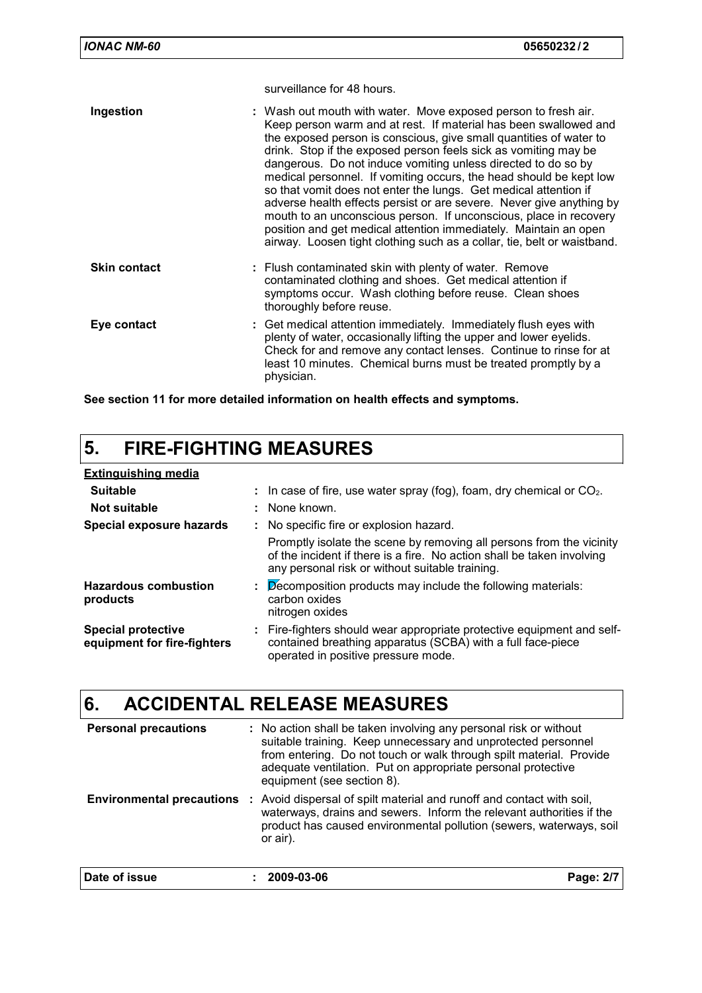surveillance for 48 hours.

| Ingestion           | : Wash out mouth with water. Move exposed person to fresh air.<br>Keep person warm and at rest. If material has been swallowed and<br>the exposed person is conscious, give small quantities of water to<br>drink. Stop if the exposed person feels sick as vomiting may be<br>dangerous. Do not induce vomiting unless directed to do so by<br>medical personnel. If vomiting occurs, the head should be kept low<br>so that vomit does not enter the lungs. Get medical attention if<br>adverse health effects persist or are severe. Never give anything by<br>mouth to an unconscious person. If unconscious, place in recovery<br>position and get medical attention immediately. Maintain an open<br>airway. Loosen tight clothing such as a collar, tie, belt or waistband. |
|---------------------|------------------------------------------------------------------------------------------------------------------------------------------------------------------------------------------------------------------------------------------------------------------------------------------------------------------------------------------------------------------------------------------------------------------------------------------------------------------------------------------------------------------------------------------------------------------------------------------------------------------------------------------------------------------------------------------------------------------------------------------------------------------------------------|
| <b>Skin contact</b> | : Flush contaminated skin with plenty of water. Remove<br>contaminated clothing and shoes. Get medical attention if<br>symptoms occur. Wash clothing before reuse. Clean shoes<br>thoroughly before reuse.                                                                                                                                                                                                                                                                                                                                                                                                                                                                                                                                                                         |
| Eye contact         | : Get medical attention immediately. Immediately flush eyes with<br>plenty of water, occasionally lifting the upper and lower eyelids.<br>Check for and remove any contact lenses. Continue to rinse for at<br>least 10 minutes. Chemical burns must be treated promptly by a<br>physician.                                                                                                                                                                                                                                                                                                                                                                                                                                                                                        |

**See section 11 for more detailed information on health effects and symptoms.**

# **5. FIRE-FIGHTING MEASURES**

| <b>Extinguishing media</b>                               |                                                                                                                                                                                                   |
|----------------------------------------------------------|---------------------------------------------------------------------------------------------------------------------------------------------------------------------------------------------------|
| <b>Suitable</b>                                          | : In case of fire, use water spray (fog), foam, dry chemical or $CO2$ .                                                                                                                           |
| Not suitable                                             | : None known.                                                                                                                                                                                     |
| Special exposure hazards                                 | : No specific fire or explosion hazard.                                                                                                                                                           |
|                                                          | Promptly isolate the scene by removing all persons from the vicinity<br>of the incident if there is a fire. No action shall be taken involving<br>any personal risk or without suitable training. |
| <b>Hazardous combustion</b><br>products                  | Decomposition products may include the following materials:<br>carbon oxides<br>nitrogen oxides                                                                                                   |
| <b>Special protective</b><br>equipment for fire-fighters | : Fire-fighters should wear appropriate protective equipment and self-<br>contained breathing apparatus (SCBA) with a full face-piece<br>operated in positive pressure mode.                      |

### **6. ACCIDENTAL RELEASE MEASURES**

| <b>Personal precautions</b> | : No action shall be taken involving any personal risk or without<br>suitable training. Keep unnecessary and unprotected personnel<br>from entering. Do not touch or walk through spilt material. Provide<br>adequate ventilation. Put on appropriate personal protective<br>equipment (see section 8). |           |  |
|-----------------------------|---------------------------------------------------------------------------------------------------------------------------------------------------------------------------------------------------------------------------------------------------------------------------------------------------------|-----------|--|
|                             | <b>Environmental precautions</b> : Avoid dispersal of spilt material and runoff and contact with soil,<br>waterways, drains and sewers. Inform the relevant authorities if the<br>product has caused environmental pollution (sewers, waterways, soil<br>or air).                                       |           |  |
| Date of issue               | 2009-03-06                                                                                                                                                                                                                                                                                              | Page: 2/7 |  |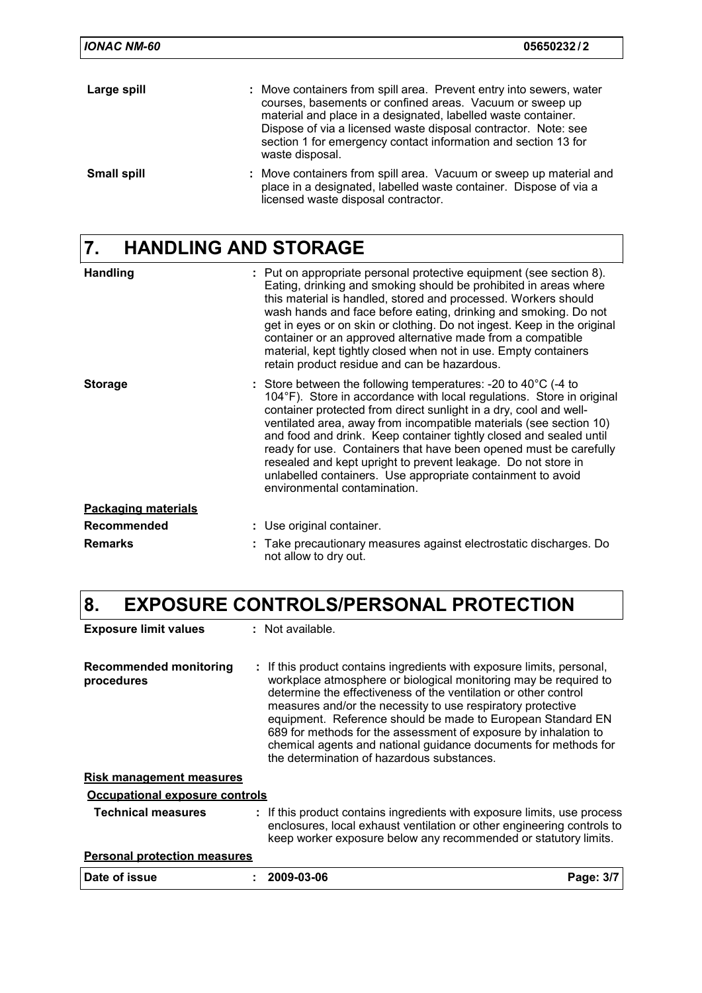| <b>IONAC NM-60</b> | 05650232/2                                                                                                                                                                                                                                                                                                                                              |
|--------------------|---------------------------------------------------------------------------------------------------------------------------------------------------------------------------------------------------------------------------------------------------------------------------------------------------------------------------------------------------------|
| Large spill        | : Move containers from spill area. Prevent entry into sewers, water<br>courses, basements or confined areas. Vacuum or sweep up<br>material and place in a designated, labelled waste container.<br>Dispose of via a licensed waste disposal contractor. Note: see<br>section 1 for emergency contact information and section 13 for<br>waste disposal. |
| <b>Small spill</b> | : Move containers from spill area. Vacuum or sweep up material and<br>place in a designated, labelled waste container. Dispose of via a<br>licensed waste disposal contractor.                                                                                                                                                                          |

# **7. HANDLING AND STORAGE**

| <b>Handling</b>            | : Put on appropriate personal protective equipment (see section 8).<br>Eating, drinking and smoking should be prohibited in areas where<br>this material is handled, stored and processed. Workers should<br>wash hands and face before eating, drinking and smoking. Do not<br>get in eyes or on skin or clothing. Do not ingest. Keep in the original<br>container or an approved alternative made from a compatible<br>material, kept tightly closed when not in use. Empty containers<br>retain product residue and can be hazardous.                                                               |
|----------------------------|---------------------------------------------------------------------------------------------------------------------------------------------------------------------------------------------------------------------------------------------------------------------------------------------------------------------------------------------------------------------------------------------------------------------------------------------------------------------------------------------------------------------------------------------------------------------------------------------------------|
| <b>Storage</b>             | : Store between the following temperatures: -20 to $40^{\circ}$ C (-4 to<br>104°F). Store in accordance with local regulations. Store in original<br>container protected from direct sunlight in a dry, cool and well-<br>ventilated area, away from incompatible materials (see section 10)<br>and food and drink. Keep container tightly closed and sealed until<br>ready for use. Containers that have been opened must be carefully<br>resealed and kept upright to prevent leakage. Do not store in<br>unlabelled containers. Use appropriate containment to avoid<br>environmental contamination. |
| <b>Packaging materials</b> |                                                                                                                                                                                                                                                                                                                                                                                                                                                                                                                                                                                                         |
| Recommended                | : Use original container.                                                                                                                                                                                                                                                                                                                                                                                                                                                                                                                                                                               |
| <b>Remarks</b>             | Take precautionary measures against electrostatic discharges. Do<br>not allow to dry out.                                                                                                                                                                                                                                                                                                                                                                                                                                                                                                               |

# **8. EXPOSURE CONTROLS/PERSONAL PROTECTION**

| <b>Exposure limit values</b>                | : Not available.                                                                                                                                                                                                                                                                                                                                                                                                                                                                                                                |           |
|---------------------------------------------|---------------------------------------------------------------------------------------------------------------------------------------------------------------------------------------------------------------------------------------------------------------------------------------------------------------------------------------------------------------------------------------------------------------------------------------------------------------------------------------------------------------------------------|-----------|
| <b>Recommended monitoring</b><br>procedures | : If this product contains ingredients with exposure limits, personal,<br>workplace atmosphere or biological monitoring may be required to<br>determine the effectiveness of the ventilation or other control<br>measures and/or the necessity to use respiratory protective<br>equipment. Reference should be made to European Standard EN<br>689 for methods for the assessment of exposure by inhalation to<br>chemical agents and national guidance documents for methods for<br>the determination of hazardous substances. |           |
| <u>Risk management measures</u>             |                                                                                                                                                                                                                                                                                                                                                                                                                                                                                                                                 |           |
| Occupational exposure controls              |                                                                                                                                                                                                                                                                                                                                                                                                                                                                                                                                 |           |
| <b>Technical measures</b>                   | : If this product contains ingredients with exposure limits, use process<br>enclosures, local exhaust ventilation or other engineering controls to<br>keep worker exposure below any recommended or statutory limits.                                                                                                                                                                                                                                                                                                           |           |
| <b>Personal protection measures</b>         |                                                                                                                                                                                                                                                                                                                                                                                                                                                                                                                                 |           |
| Date of issue                               | 2009-03-06                                                                                                                                                                                                                                                                                                                                                                                                                                                                                                                      | Page: 3/7 |
|                                             |                                                                                                                                                                                                                                                                                                                                                                                                                                                                                                                                 |           |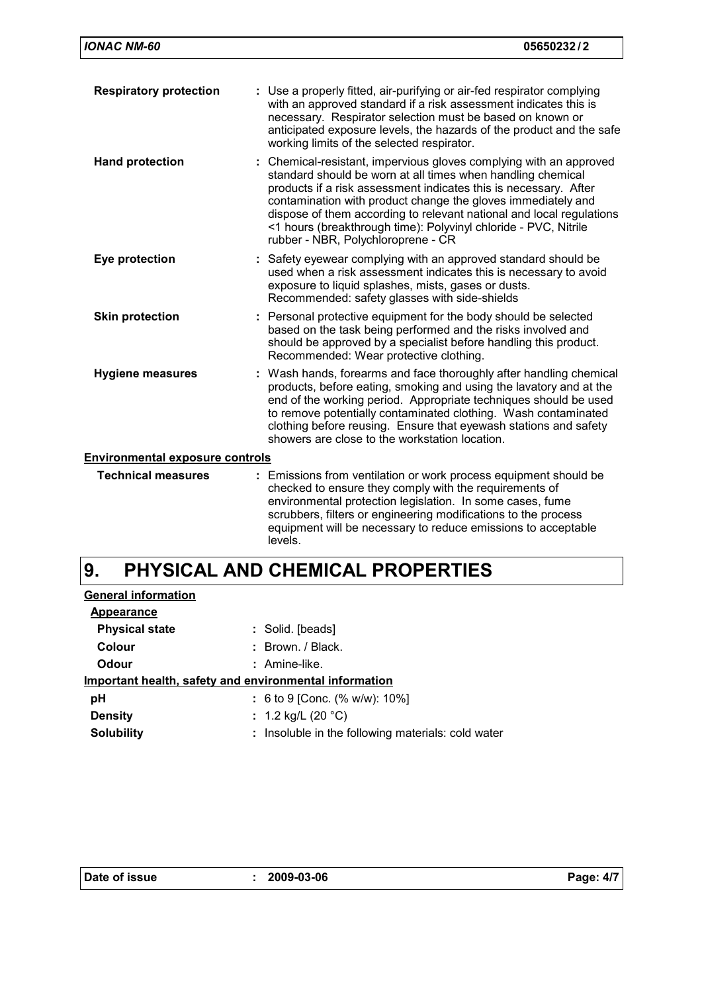| <b>IONAC NM-60</b>                     | 05650232/2                                                                                                                                                                                                                                                                                                                                                                                                                                             |
|----------------------------------------|--------------------------------------------------------------------------------------------------------------------------------------------------------------------------------------------------------------------------------------------------------------------------------------------------------------------------------------------------------------------------------------------------------------------------------------------------------|
| <b>Respiratory protection</b>          | : Use a properly fitted, air-purifying or air-fed respirator complying<br>with an approved standard if a risk assessment indicates this is<br>necessary. Respirator selection must be based on known or<br>anticipated exposure levels, the hazards of the product and the safe<br>working limits of the selected respirator.                                                                                                                          |
| <b>Hand protection</b>                 | : Chemical-resistant, impervious gloves complying with an approved<br>standard should be worn at all times when handling chemical<br>products if a risk assessment indicates this is necessary. After<br>contamination with product change the gloves immediately and<br>dispose of them according to relevant national and local regulations<br><1 hours (breakthrough time): Polyvinyl chloride - PVC, Nitrile<br>rubber - NBR, Polychloroprene - CR |
| Eye protection                         | Safety eyewear complying with an approved standard should be<br>used when a risk assessment indicates this is necessary to avoid<br>exposure to liquid splashes, mists, gases or dusts.<br>Recommended: safety glasses with side-shields                                                                                                                                                                                                               |
| <b>Skin protection</b>                 | : Personal protective equipment for the body should be selected<br>based on the task being performed and the risks involved and<br>should be approved by a specialist before handling this product.<br>Recommended: Wear protective clothing.                                                                                                                                                                                                          |
| <b>Hygiene measures</b>                | : Wash hands, forearms and face thoroughly after handling chemical<br>products, before eating, smoking and using the lavatory and at the<br>end of the working period. Appropriate techniques should be used<br>to remove potentially contaminated clothing. Wash contaminated<br>clothing before reusing. Ensure that eyewash stations and safety<br>showers are close to the workstation location.                                                   |
| <b>Environmental exposure controls</b> |                                                                                                                                                                                                                                                                                                                                                                                                                                                        |
| <b>Technical measures</b>              | : Emissions from ventilation or work process equipment should be<br>checked to ensure they comply with the requirements of<br>environmental protection legislation. In some cases, fume<br>scrubbers, filters or engineering modifications to the process<br>equipment will be necessary to reduce emissions to acceptable                                                                                                                             |

#### **PHYSICAL AND CHEMICAL PROPERTIES 9.**

levels.

| <b>General information</b>                             |                                                    |
|--------------------------------------------------------|----------------------------------------------------|
| Appearance                                             |                                                    |
| <b>Physical state</b>                                  | : Solid. [beads]                                   |
| Colour                                                 | $:$ Brown, $/$ Black,                              |
| Odour                                                  | : Amine-like.                                      |
| Important health, safety and environmental information |                                                    |
| рH                                                     | : 6 to 9 [Conc. (% w/w): $10\%$ ]                  |
| <b>Density</b>                                         | : 1.2 kg/L (20 $^{\circ}$ C)                       |
| <b>Solubility</b>                                      | : Insoluble in the following materials: cold water |
|                                                        |                                                    |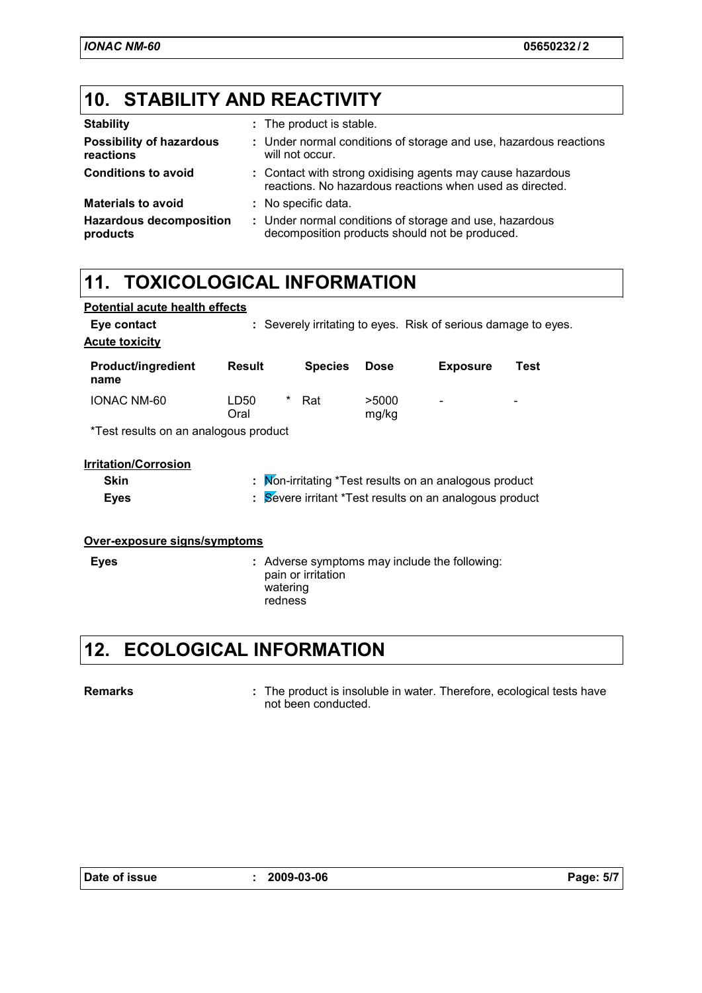# **10. STABILITY AND REACTIVITY**

| <b>Stability</b>                             | : The product is stable.                                                                                               |
|----------------------------------------------|------------------------------------------------------------------------------------------------------------------------|
| <b>Possibility of hazardous</b><br>reactions | : Under normal conditions of storage and use, hazardous reactions<br>will not occur.                                   |
| <b>Conditions to avoid</b>                   | : Contact with strong oxidising agents may cause hazardous<br>reactions. No hazardous reactions when used as directed. |
| <b>Materials to avoid</b>                    | : No specific data.                                                                                                    |
| <b>Hazardous decomposition</b><br>products   | : Under normal conditions of storage and use, hazardous<br>decomposition products should not be produced.              |

### **11. TOXICOLOGICAL INFORMATION**

| <b>Potential acute health effects</b> |                                                                |                     |                    |                                               |                                                        |      |
|---------------------------------------|----------------------------------------------------------------|---------------------|--------------------|-----------------------------------------------|--------------------------------------------------------|------|
| Eye contact                           | : Severely irritating to eyes. Risk of serious damage to eyes. |                     |                    |                                               |                                                        |      |
| <b>Acute toxicity</b>                 |                                                                |                     |                    |                                               |                                                        |      |
| <b>Product/ingredient</b><br>name     | <b>Result</b>                                                  |                     | <b>Species</b>     | <b>Dose</b>                                   | <b>Exposure</b>                                        | Test |
| IONAC NM-60                           | LD50<br>Oral                                                   | *                   | Rat                | >5000<br>mg/kg                                |                                                        |      |
| *Test results on an analogous product |                                                                |                     |                    |                                               |                                                        |      |
| <b>Irritation/Corrosion</b>           |                                                                |                     |                    |                                               |                                                        |      |
| <b>Skin</b>                           |                                                                |                     |                    |                                               | : Mon-irritating *Test results on an analogous product |      |
| <b>Eyes</b>                           | : Severe irritant *Test results on an analogous product        |                     |                    |                                               |                                                        |      |
|                                       |                                                                |                     |                    |                                               |                                                        |      |
| Over-exposure signs/symptoms          |                                                                |                     |                    |                                               |                                                        |      |
| <b>Eyes</b>                           |                                                                | watering<br>redness | pain or irritation | : Adverse symptoms may include the following: |                                                        |      |

### **12. ECOLOGICAL INFORMATION**

### **Remarks :**

: The product is insoluble in water. Therefore, ecological tests have not been conducted.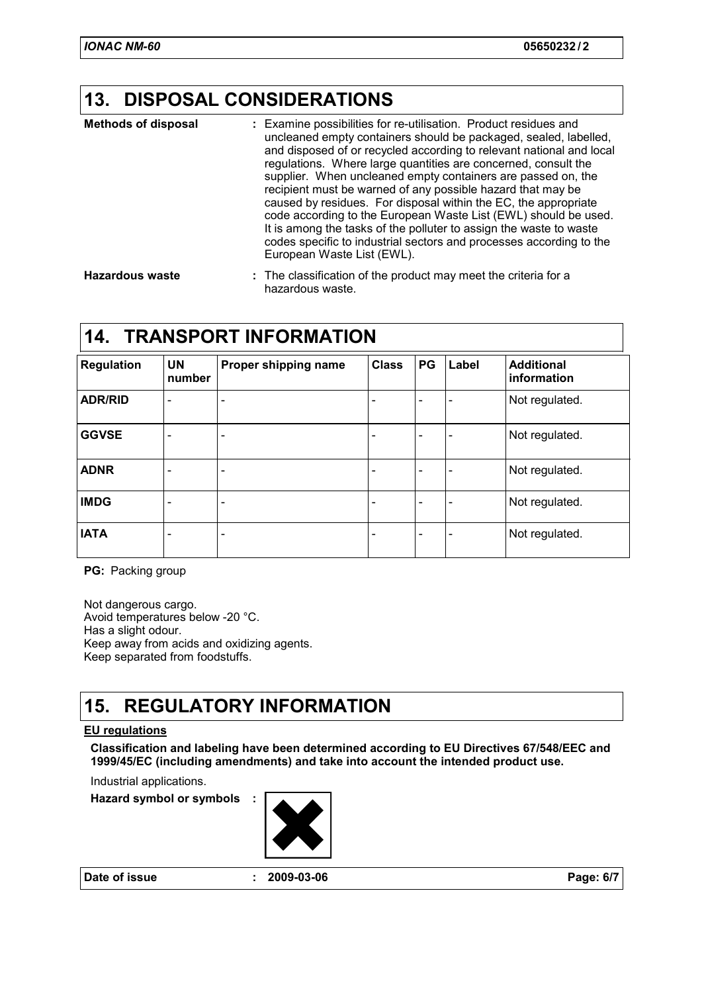### **13. DISPOSAL CONSIDERATIONS**

| <b>Methods of disposal</b> | : Examine possibilities for re-utilisation. Product residues and<br>uncleaned empty containers should be packaged, sealed, labelled,<br>and disposed of or recycled according to relevant national and local<br>regulations. Where large quantities are concerned, consult the<br>supplier. When uncleaned empty containers are passed on, the<br>recipient must be warned of any possible hazard that may be<br>caused by residues. For disposal within the EC, the appropriate<br>code according to the European Waste List (EWL) should be used.<br>It is among the tasks of the polluter to assign the waste to waste<br>codes specific to industrial sectors and processes according to the<br>European Waste List (EWL). |
|----------------------------|--------------------------------------------------------------------------------------------------------------------------------------------------------------------------------------------------------------------------------------------------------------------------------------------------------------------------------------------------------------------------------------------------------------------------------------------------------------------------------------------------------------------------------------------------------------------------------------------------------------------------------------------------------------------------------------------------------------------------------|
|                            | - 下には、ましょう (例える) ( 例える) しょうばん しょうかん しょうしょう こうしょう しょうしょうしょう しょうしょう                                                                                                                                                                                                                                                                                                                                                                                                                                                                                                                                                                                                                                                              |

The classification of the product may meet the criteria for a hazardous waste. **Hazardous waste :**

### **14. TRANSPORT INFORMATION**

| <b>Regulation</b> | <b>UN</b><br>number      | Proper shipping name     | <b>Class</b> | PG | Label                    | <b>Additional</b><br>information |
|-------------------|--------------------------|--------------------------|--------------|----|--------------------------|----------------------------------|
| <b>ADR/RID</b>    | $\overline{\phantom{0}}$ | $\qquad \qquad$          |              |    | ۰                        | Not regulated.                   |
| <b>GGVSE</b>      | ٠                        | $\overline{\phantom{a}}$ |              |    | $\overline{\phantom{0}}$ | Not regulated.                   |
| <b>ADNR</b>       | ۰                        | $\overline{\phantom{a}}$ |              |    | $\overline{\phantom{0}}$ | Not regulated.                   |
| <b>IMDG</b>       | $\qquad \qquad$          | $\overline{\phantom{a}}$ |              |    | $\overline{\phantom{0}}$ | Not regulated.                   |
| <b>IATA</b>       |                          | $\blacksquare$           |              |    | $\overline{\phantom{0}}$ | Not regulated.                   |

**PG:** Packing group

Not dangerous cargo. Avoid temperatures below -20 °C. Has a slight odour. Keep away from acids and oxidizing agents. Keep separated from foodstuffs.

### **15. REGULATORY INFORMATION**

### **EU regulations**

**Classification and labeling have been determined according to EU Directives 67/548/EEC and 1999/45/EC (including amendments) and take into account the intended product use.**

Industrial applications.

**Hazard symbol or symbols :**